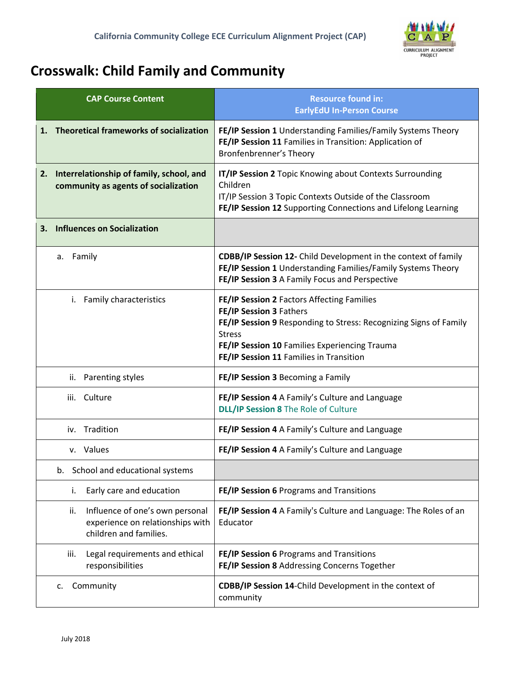

## **Crosswalk: Child Family and Community**

| <b>CAP Course Content</b>                                                                            | <b>Resource found in:</b><br><b>EarlyEdU In-Person Course</b>                                                                                                                                                                                           |  |  |
|------------------------------------------------------------------------------------------------------|---------------------------------------------------------------------------------------------------------------------------------------------------------------------------------------------------------------------------------------------------------|--|--|
| <b>Theoretical frameworks of socialization</b><br>1.                                                 | FE/IP Session 1 Understanding Families/Family Systems Theory<br>FE/IP Session 11 Families in Transition: Application of<br>Bronfenbrenner's Theory                                                                                                      |  |  |
| 2. Interrelationship of family, school, and<br>community as agents of socialization                  | IT/IP Session 2 Topic Knowing about Contexts Surrounding<br>Children<br>IT/IP Session 3 Topic Contexts Outside of the Classroom<br>FE/IP Session 12 Supporting Connections and Lifelong Learning                                                        |  |  |
| <b>Influences on Socialization</b><br>3.                                                             |                                                                                                                                                                                                                                                         |  |  |
| a. Family                                                                                            | <b>CDBB/IP Session 12-</b> Child Development in the context of family<br>FE/IP Session 1 Understanding Families/Family Systems Theory<br>FE/IP Session 3 A Family Focus and Perspective                                                                 |  |  |
| Family characteristics<br>i.                                                                         | FE/IP Session 2 Factors Affecting Families<br>FE/IP Session 3 Fathers<br>FE/IP Session 9 Responding to Stress: Recognizing Signs of Family<br><b>Stress</b><br>FE/IP Session 10 Families Experiencing Trauma<br>FE/IP Session 11 Families in Transition |  |  |
| ii. Parenting styles                                                                                 | FE/IP Session 3 Becoming a Family                                                                                                                                                                                                                       |  |  |
| iii. Culture                                                                                         | FE/IP Session 4 A Family's Culture and Language<br><b>DLL/IP Session 8 The Role of Culture</b>                                                                                                                                                          |  |  |
| Tradition<br>İV.                                                                                     | FE/IP Session 4 A Family's Culture and Language                                                                                                                                                                                                         |  |  |
| v. Values                                                                                            | FE/IP Session 4 A Family's Culture and Language                                                                                                                                                                                                         |  |  |
| b. School and educational systems                                                                    |                                                                                                                                                                                                                                                         |  |  |
| Early care and education<br>i.                                                                       | FE/IP Session 6 Programs and Transitions                                                                                                                                                                                                                |  |  |
| Influence of one's own personal<br>ii.<br>experience on relationships with<br>children and families. | FE/IP Session 4 A Family's Culture and Language: The Roles of an<br>Educator                                                                                                                                                                            |  |  |
| Legal requirements and ethical<br>iii.<br>responsibilities                                           | FE/IP Session 6 Programs and Transitions<br>FE/IP Session 8 Addressing Concerns Together                                                                                                                                                                |  |  |
| Community<br>c.                                                                                      | CDBB/IP Session 14-Child Development in the context of<br>community                                                                                                                                                                                     |  |  |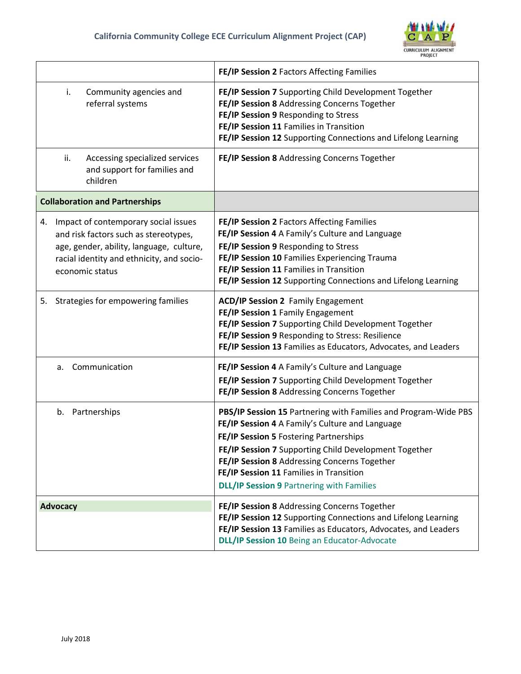

|                                                                                                                                                                                                 | FE/IP Session 2 Factors Affecting Families                                                                                                                                                                                                                                                                                                                           |  |  |
|-------------------------------------------------------------------------------------------------------------------------------------------------------------------------------------------------|----------------------------------------------------------------------------------------------------------------------------------------------------------------------------------------------------------------------------------------------------------------------------------------------------------------------------------------------------------------------|--|--|
| Community agencies and<br>i.<br>referral systems                                                                                                                                                | FE/IP Session 7 Supporting Child Development Together<br>FE/IP Session 8 Addressing Concerns Together<br>FE/IP Session 9 Responding to Stress<br>FE/IP Session 11 Families in Transition<br>FE/IP Session 12 Supporting Connections and Lifelong Learning                                                                                                            |  |  |
| ii.<br>Accessing specialized services<br>and support for families and<br>children                                                                                                               | FE/IP Session 8 Addressing Concerns Together                                                                                                                                                                                                                                                                                                                         |  |  |
| <b>Collaboration and Partnerships</b>                                                                                                                                                           |                                                                                                                                                                                                                                                                                                                                                                      |  |  |
| Impact of contemporary social issues<br>4.<br>and risk factors such as stereotypes,<br>age, gender, ability, language, culture,<br>racial identity and ethnicity, and socio-<br>economic status | FE/IP Session 2 Factors Affecting Families<br>FE/IP Session 4 A Family's Culture and Language<br>FE/IP Session 9 Responding to Stress<br>FE/IP Session 10 Families Experiencing Trauma<br>FE/IP Session 11 Families in Transition<br>FE/IP Session 12 Supporting Connections and Lifelong Learning                                                                   |  |  |
| 5. Strategies for empowering families                                                                                                                                                           | <b>ACD/IP Session 2 Family Engagement</b><br>FE/IP Session 1 Family Engagement<br>FE/IP Session 7 Supporting Child Development Together<br>FE/IP Session 9 Responding to Stress: Resilience<br>FE/IP Session 13 Families as Educators, Advocates, and Leaders                                                                                                        |  |  |
| Communication<br>а.                                                                                                                                                                             | FE/IP Session 4 A Family's Culture and Language<br>FE/IP Session 7 Supporting Child Development Together<br>FE/IP Session 8 Addressing Concerns Together                                                                                                                                                                                                             |  |  |
| Partnerships<br>b.                                                                                                                                                                              | PBS/IP Session 15 Partnering with Families and Program-Wide PBS<br>FE/IP Session 4 A Family's Culture and Language<br>FE/IP Session 5 Fostering Partnerships<br>FE/IP Session 7 Supporting Child Development Together<br>FE/IP Session 8 Addressing Concerns Together<br>FE/IP Session 11 Families in Transition<br><b>DLL/IP Session 9 Partnering with Families</b> |  |  |
| <b>Advocacy</b>                                                                                                                                                                                 | FE/IP Session 8 Addressing Concerns Together<br>FE/IP Session 12 Supporting Connections and Lifelong Learning<br>FE/IP Session 13 Families as Educators, Advocates, and Leaders<br>DLL/IP Session 10 Being an Educator-Advocate                                                                                                                                      |  |  |